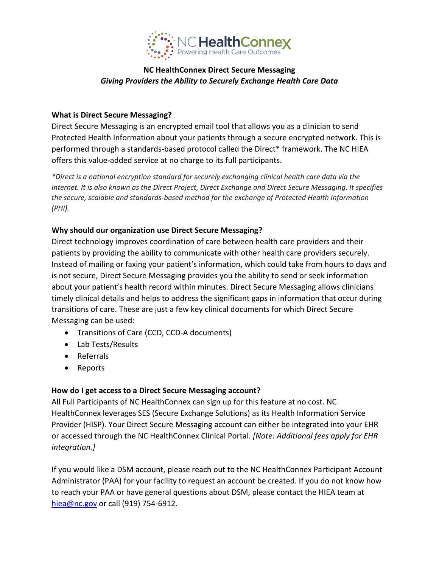

# **NC HealthConnex Direct Secure Messaging**  *Giving Providers the Ability to Securely Exchange Health Care Data*

### **What is Direct Secure Messaging?**

Direct Secure Messaging is an encrypted email tool that allows you as a clinician to send Protected Health Information about your patients through a secure encrypted network. This is performed through a standards-based protocol called the Direct\* framework. The NC HIEA offers this value‐added service at no charge to its full participants.

*\*Direct is a national encryption standard for securely exchanging clinical health care data via the Internet. It is also known as the Direct Project, Direct Exchange and Direct Secure Messaging. It specifies the secure, scalable and standards‐based method for the exchange of Protected Health Information (PHI).*

### **Why should our organization use Direct Secure Messaging?**

Direct technology improves coordination of care between health care providers and their patients by providing the ability to communicate with other health care providers securely. Instead of mailing or faxing your patient's information, which could take from hours to days and is not secure, Direct Secure Messaging provides you the ability to send or seek information about your patient's health record within minutes. Direct Secure Messaging allows clinicians timely clinical details and helps to address the significant gaps in information that occur during transitions of care. These are just a few key clinical documents for which Direct Secure Messaging can be used:

- Transitions of Care (CCD, CCD‐A documents)
- Lab Tests/Results
- Referrals
- Reports

### **How do I get access to a Direct Secure Messaging account?**

All Full Participants of NC HealthConnex can sign up for this feature at no cost. NC HealthConnex leverages SES (Secure Exchange Solutions) as its Health Information Service Provider (HISP). Your Direct Secure Messaging account can either be integrated into your EHR or accessed through the NC HealthConnex Clinical Portal. *[Note: Additional fees apply for EHR integration.]* 

If you would like a DSM account, please reach out to the NC HealthConnex Participant Account Administrator (PAA) for your facility to request an account be created. If you do not know how to reach your PAA or have general questions about DSM, please contact the HIEA team at hiea@nc.gov or call (919) 754‐6912.